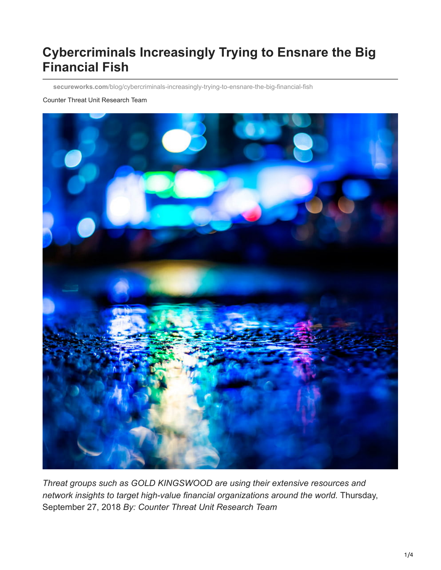# **Cybercriminals Increasingly Trying to Ensnare the Big Financial Fish**

**secureworks.com**[/blog/cybercriminals-increasingly-trying-to-ensnare-the-big-financial-fish](https://www.secureworks.com/blog/cybercriminals-increasingly-trying-to-ensnare-the-big-financial-fish)

#### Counter Threat Unit Research Team



*Threat groups such as GOLD KINGSWOOD are using their extensive resources and network insights to target high-value financial organizations around the world.* Thursday, September 27, 2018 *By: Counter Threat Unit Research Team*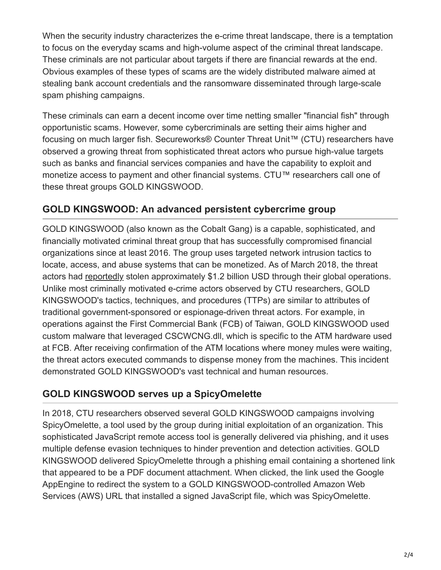When the security industry characterizes the e-crime threat landscape, there is a temptation to focus on the everyday scams and high-volume aspect of the criminal threat landscape. These criminals are not particular about targets if there are financial rewards at the end. Obvious examples of these types of scams are the widely distributed malware aimed at stealing bank account credentials and the ransomware disseminated through large-scale spam phishing campaigns.

These criminals can earn a decent income over time netting smaller "financial fish" through opportunistic scams. However, some cybercriminals are setting their aims higher and focusing on much larger fish. Secureworks® Counter Threat Unit™ (CTU) researchers have observed a growing threat from sophisticated threat actors who pursue high-value targets such as banks and financial services companies and have the capability to exploit and monetize access to payment and other financial systems. CTU™ researchers call one of these threat groups GOLD KINGSWOOD.

### **GOLD KINGSWOOD: An advanced persistent cybercrime group**

GOLD KINGSWOOD (also known as the Cobalt Gang) is a capable, sophisticated, and financially motivated criminal threat group that has successfully compromised financial organizations since at least 2016. The group uses targeted network intrusion tactics to locate, access, and abuse systems that can be monetized. As of March 2018, the threat actors had [reportedly](https://www.bloomberg.com/news/articles/2018-03-26/malware-mastermind-who-rigged-atms-to-spew-cash-caught-in-spain) stolen approximately \$1.2 billion USD through their global operations. Unlike most criminally motivated e-crime actors observed by CTU researchers, GOLD KINGSWOOD's tactics, techniques, and procedures (TTPs) are similar to attributes of traditional government-sponsored or espionage-driven threat actors. For example, in operations against the First Commercial Bank (FCB) of Taiwan, GOLD KINGSWOOD used custom malware that leveraged CSCWCNG.dll, which is specific to the ATM hardware used at FCB. After receiving confirmation of the ATM locations where money mules were waiting, the threat actors executed commands to dispense money from the machines. This incident demonstrated GOLD KINGSWOOD's vast technical and human resources.

## **GOLD KINGSWOOD serves up a SpicyOmelette**

In 2018, CTU researchers observed several GOLD KINGSWOOD campaigns involving SpicyOmelette, a tool used by the group during initial exploitation of an organization. This sophisticated JavaScript remote access tool is generally delivered via phishing, and it uses multiple defense evasion techniques to hinder prevention and detection activities. GOLD KINGSWOOD delivered SpicyOmelette through a phishing email containing a shortened link that appeared to be a PDF document attachment. When clicked, the link used the Google AppEngine to redirect the system to a GOLD KINGSWOOD-controlled Amazon Web Services (AWS) URL that installed a signed JavaScript file, which was SpicyOmelette.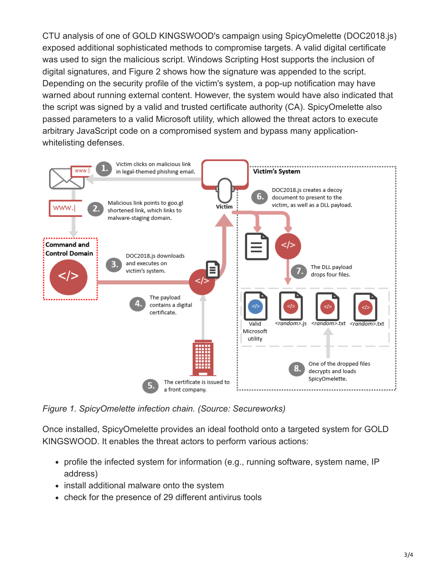CTU analysis of one of GOLD KINGSWOOD's campaign using SpicyOmelette (DOC2018.js) exposed additional sophisticated methods to compromise targets. A valid digital certificate was used to sign the malicious script. Windows Scripting Host supports the inclusion of digital signatures, and Figure 2 shows how the signature was appended to the script. Depending on the security profile of the victim's system, a pop-up notification may have warned about running external content. However, the system would have also indicated that the script was signed by a valid and trusted certificate authority (CA). SpicyOmelette also passed parameters to a valid Microsoft utility, which allowed the threat actors to execute arbitrary JavaScript code on a compromised system and bypass many applicationwhitelisting defenses.



*Figure 1. SpicyOmelette infection chain. (Source: Secureworks)*

Once installed, SpicyOmelette provides an ideal foothold onto a targeted system for GOLD KINGSWOOD. It enables the threat actors to perform various actions:

- profile the infected system for information (e.g., running software, system name, IP address)
- install additional malware onto the system
- check for the presence of 29 different antivirus tools